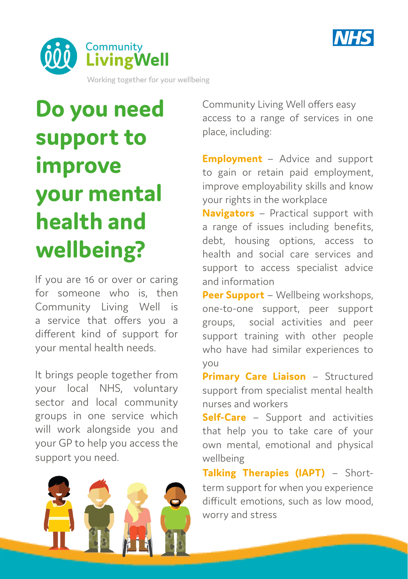



# **Do you need support to improve your mental health and wellbeing?**

If you are 16 or over or caring for someone who is, then Community Living Well is a service that offers you a different kind of support for your mental health needs.

It brings people together from your local NHS, voluntary sector and local community groups in one service which will work alongside you and your GP to help you access the support you need.



Community Living Well offers easy access to a range of services in one place, including:

**Employment** – Advice and support to gain or retain paid employment, improve employability skills and know your rights in the workplace

**Navigators** – Practical support with a range of issues including benefits, debt, housing options, access to health and social care services and support to access specialist advice and information

**Peer Support** – Wellbeing workshops, one-to-one support, peer support groups, social activities and peer support training with other people who have had similar experiences to you

**Primary Care Liaison** – Structured support from specialist mental health nurses and workers

**Self-Care** – Support and activities that help you to take care of your own mental, emotional and physical wellbeing

**Talking Therapies (IAPT)** – Shortterm support for when you experience difficult emotions, such as low mood, worry and stress